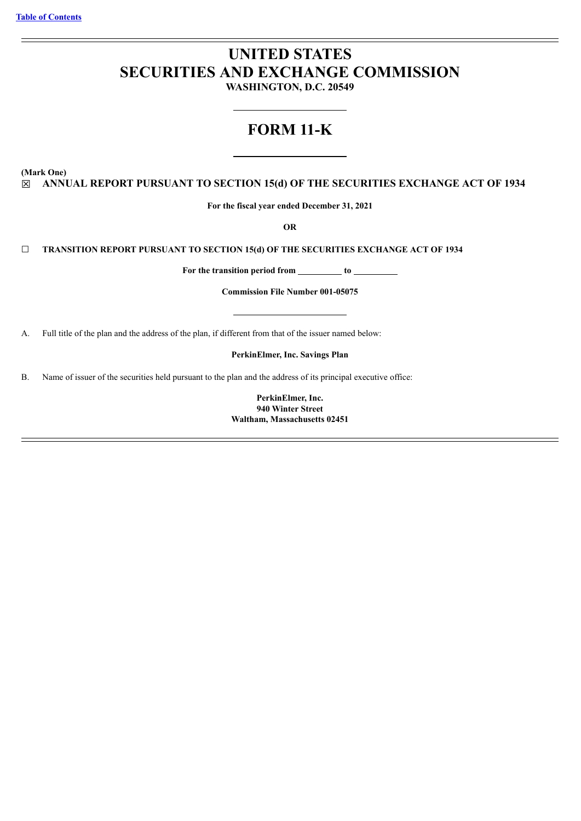# **UNITED STATES SECURITIES AND EXCHANGE COMMISSION**

**WASHINGTON, D.C. 20549**

## **FORM 11-K**

**(Mark One)**

## ☒ **ANNUAL REPORT PURSUANT TO SECTION 15(d) OF THE SECURITIES EXCHANGE ACT OF 1934**

**For the fiscal year ended December 31, 2021**

**OR**

☐ **TRANSITION REPORT PURSUANT TO SECTION 15(d) OF THE SECURITIES EXCHANGE ACT OF 1934**

**For the transition period from to**

**Commission File Number 001-05075**

A. Full title of the plan and the address of the plan, if different from that of the issuer named below:

**PerkinElmer, Inc. Savings Plan**

B. Name of issuer of the securities held pursuant to the plan and the address of its principal executive office:

**PerkinElmer, Inc. 940 Winter Street Waltham, Massachusetts 02451**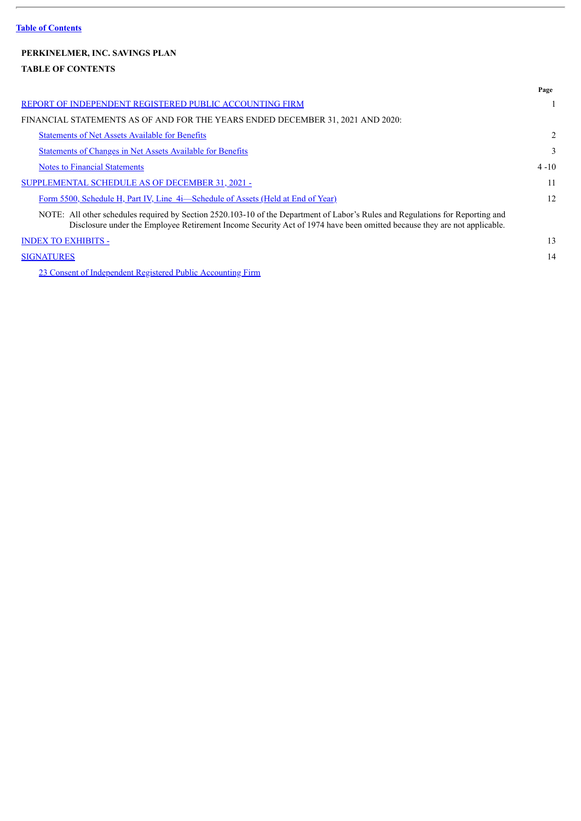$\overline{a}$ 

## <span id="page-1-0"></span>**PERKINELMER, INC. SAVINGS PLAN TABLE OF CONTENTS**

|                                                                                                                                                                                                                                                           | Page     |
|-----------------------------------------------------------------------------------------------------------------------------------------------------------------------------------------------------------------------------------------------------------|----------|
| REPORT OF INDEPENDENT REGISTERED PUBLIC ACCOUNTING FIRM                                                                                                                                                                                                   |          |
| FINANCIAL STATEMENTS AS OF AND FOR THE YEARS ENDED DECEMBER 31, 2021 AND 2020:                                                                                                                                                                            |          |
| <b>Statements of Net Assets Available for Benefits</b>                                                                                                                                                                                                    | 2        |
| Statements of Changes in Net Assets Available for Benefits                                                                                                                                                                                                | 3        |
| <b>Notes to Financial Statements</b>                                                                                                                                                                                                                      | $4 - 10$ |
| SUPPLEMENTAL SCHEDULE AS OF DECEMBER 31, 2021 -                                                                                                                                                                                                           | 11       |
| Form 5500, Schedule H, Part IV, Line 4i—Schedule of Assets (Held at End of Year)                                                                                                                                                                          | 12       |
| NOTE: All other schedules required by Section 2520.103-10 of the Department of Labor's Rules and Regulations for Reporting and<br>Disclosure under the Employee Retirement Income Security Act of 1974 have been omitted because they are not applicable. |          |
| <b>INDEX TO EXHIBITS -</b>                                                                                                                                                                                                                                | 13       |
| <b>SIGNATURES</b>                                                                                                                                                                                                                                         | 14       |
| 23 Consent of Independent Registered Public Accounting Firm                                                                                                                                                                                               |          |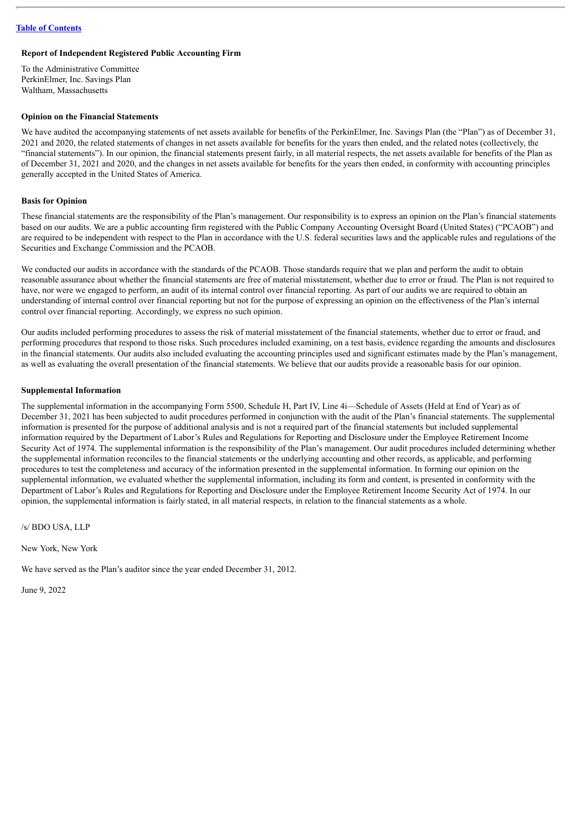#### <span id="page-2-0"></span>**Report of Independent Registered Public Accounting Firm**

To the Administrative Committee PerkinElmer, Inc. Savings Plan Waltham, Massachusetts

#### **Opinion on the Financial Statements**

We have audited the accompanying statements of net assets available for benefits of the PerkinElmer, Inc. Savings Plan (the "Plan") as of December 31, 2021 and 2020, the related statements of changes in net assets available for benefits for the years then ended, and the related notes (collectively, the "financial statements"). In our opinion, the financial statements present fairly, in all material respects, the net assets available for benefits of the Plan as of December 31, 2021 and 2020, and the changes in net assets available for benefits for the years then ended, in conformity with accounting principles generally accepted in the United States of America.

#### **Basis for Opinion**

These financial statements are the responsibility of the Plan's management. Our responsibility is to express an opinion on the Plan's financial statements based on our audits. We are a public accounting firm registered with the Public Company Accounting Oversight Board (United States) ("PCAOB") and are required to be independent with respect to the Plan in accordance with the U.S. federal securities laws and the applicable rules and regulations of the Securities and Exchange Commission and the PCAOB.

We conducted our audits in accordance with the standards of the PCAOB. Those standards require that we plan and perform the audit to obtain reasonable assurance about whether the financial statements are free of material misstatement, whether due to error or fraud. The Plan is not required to have, nor were we engaged to perform, an audit of its internal control over financial reporting. As part of our audits we are required to obtain an understanding of internal control over financial reporting but not for the purpose of expressing an opinion on the effectiveness of the Plan's internal control over financial reporting. Accordingly, we express no such opinion.

Our audits included performing procedures to assess the risk of material misstatement of the financial statements, whether due to error or fraud, and performing procedures that respond to those risks. Such procedures included examining, on a test basis, evidence regarding the amounts and disclosures in the financial statements. Our audits also included evaluating the accounting principles used and significant estimates made by the Plan's management, as well as evaluating the overall presentation of the financial statements. We believe that our audits provide a reasonable basis for our opinion.

#### **Supplemental Information**

The supplemental information in the accompanying Form 5500, Schedule H, Part IV, Line 4i—Schedule of Assets (Held at End of Year) as of December 31, 2021 has been subjected to audit procedures performed in conjunction with the audit of the Plan's financial statements. The supplemental information is presented for the purpose of additional analysis and is not a required part of the financial statements but included supplemental information required by the Department of Labor's Rules and Regulations for Reporting and Disclosure under the Employee Retirement Income Security Act of 1974. The supplemental information is the responsibility of the Plan's management. Our audit procedures included determining whether the supplemental information reconciles to the financial statements or the underlying accounting and other records, as applicable, and performing procedures to test the completeness and accuracy of the information presented in the supplemental information. In forming our opinion on the supplemental information, we evaluated whether the supplemental information, including its form and content, is presented in conformity with the Department of Labor's Rules and Regulations for Reporting and Disclosure under the Employee Retirement Income Security Act of 1974. In our opinion, the supplemental information is fairly stated, in all material respects, in relation to the financial statements as a whole.

/s/ BDO USA, LLP

New York, New York

We have served as the Plan's auditor since the year ended December 31, 2012.

June 9, 2022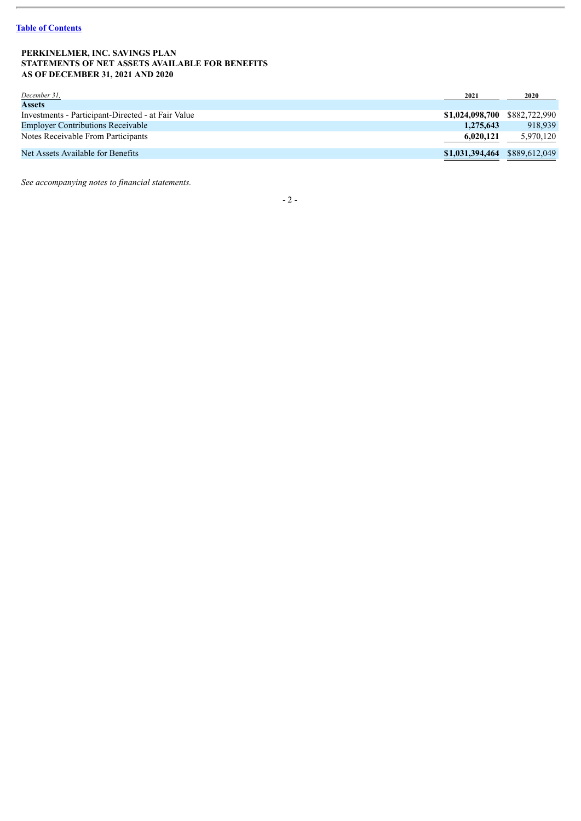## <span id="page-3-0"></span>**PERKINELMER, INC. SAVINGS PLAN STATEMENTS OF NET ASSETS AVAILABLE FOR BENEFITS AS OF DECEMBER 31, 2021 AND 2020**

| December 31,                                       | 2021                          | <b>2020</b> |
|----------------------------------------------------|-------------------------------|-------------|
| <b>Assets</b>                                      |                               |             |
| Investments - Participant-Directed - at Fair Value | \$1,024,098,700 \$882,722,990 |             |
| <b>Employer Contributions Receivable</b>           | 1,275,643                     | 918.939     |
| Notes Receivable From Participants                 | 6.020.121                     | 5,970,120   |
|                                                    |                               |             |
| Net Assets Available for Benefits                  | \$1,031,394,464 \$889,612,049 |             |

*See accompanying notes to financial statements.*

 $- 2 -$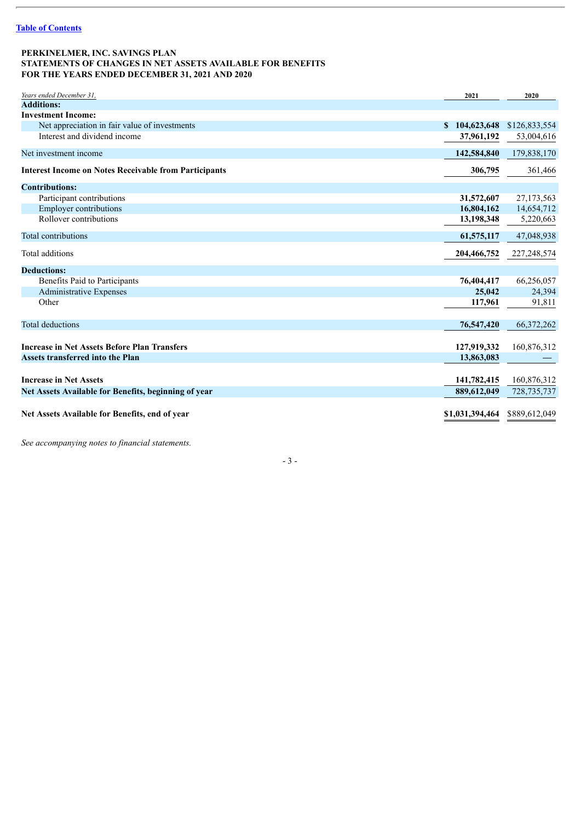## <span id="page-4-0"></span>**PERKINELMER, INC. SAVINGS PLAN STATEMENTS OF CHANGES IN NET ASSETS AVAILABLE FOR BENEFITS FOR THE YEARS ENDED DECEMBER 31, 2021 AND 2020**

| Years ended December 31,                                     | 2021             | 2020          |
|--------------------------------------------------------------|------------------|---------------|
| <b>Additions:</b>                                            |                  |               |
| <b>Investment Income:</b>                                    |                  |               |
| Net appreciation in fair value of investments                | 104,623,648<br>S | \$126,833,554 |
| Interest and dividend income                                 | 37,961,192       | 53,004,616    |
| Net investment income                                        | 142,584,840      | 179,838,170   |
| <b>Interest Income on Notes Receivable from Participants</b> | 306,795          | 361,466       |
| <b>Contributions:</b>                                        |                  |               |
| Participant contributions                                    | 31,572,607       | 27,173,563    |
| <b>Employer contributions</b>                                | 16,804,162       | 14,654,712    |
| Rollover contributions                                       | 13,198,348       | 5,220,663     |
| Total contributions                                          | 61,575,117       | 47,048,938    |
| Total additions                                              | 204,466,752      | 227, 248, 574 |
| <b>Deductions:</b>                                           |                  |               |
| Benefits Paid to Participants                                | 76,404,417       | 66,256,057    |
| <b>Administrative Expenses</b>                               | 25,042           | 24,394        |
| Other                                                        | 117,961          | 91,811        |
| <b>Total deductions</b>                                      | 76,547,420       | 66,372,262    |
|                                                              |                  |               |
| <b>Increase in Net Assets Before Plan Transfers</b>          | 127,919,332      | 160,876,312   |
| <b>Assets transferred into the Plan</b>                      | 13,863,083       |               |
|                                                              |                  |               |
| <b>Increase in Net Assets</b>                                | 141,782,415      | 160,876,312   |
| Net Assets Available for Benefits, beginning of year         | 889,612,049      | 728, 735, 737 |
| Net Assets Available for Benefits, end of year               | \$1,031,394,464  | \$889,612,049 |

*See accompanying notes to financial statements.*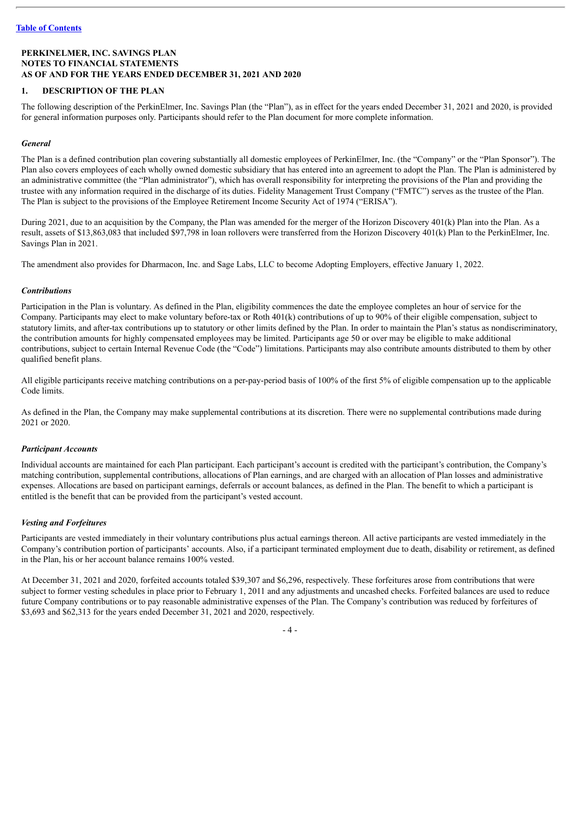## <span id="page-5-0"></span>**PERKINELMER, INC. SAVINGS PLAN NOTES TO FINANCIAL STATEMENTS AS OF AND FOR THE YEARS ENDED DECEMBER 31, 2021 AND 2020**

## **1. DESCRIPTION OF THE PLAN**

The following description of the PerkinElmer, Inc. Savings Plan (the "Plan"), as in effect for the years ended December 31, 2021 and 2020, is provided for general information purposes only. Participants should refer to the Plan document for more complete information.

#### *General*

The Plan is a defined contribution plan covering substantially all domestic employees of PerkinElmer, Inc. (the "Company" or the "Plan Sponsor"). The Plan also covers employees of each wholly owned domestic subsidiary that has entered into an agreement to adopt the Plan. The Plan is administered by an administrative committee (the "Plan administrator"), which has overall responsibility for interpreting the provisions of the Plan and providing the trustee with any information required in the discharge of its duties. Fidelity Management Trust Company ("FMTC") serves as the trustee of the Plan. The Plan is subject to the provisions of the Employee Retirement Income Security Act of 1974 ("ERISA").

During 2021, due to an acquisition by the Company, the Plan was amended for the merger of the Horizon Discovery 401(k) Plan into the Plan. As a result, assets of \$13,863,083 that included \$97,798 in loan rollovers were transferred from the Horizon Discovery 401(k) Plan to the PerkinElmer, Inc. Savings Plan in 2021.

The amendment also provides for Dharmacon, Inc. and Sage Labs, LLC to become Adopting Employers, effective January 1, 2022.

#### *Contributions*

Participation in the Plan is voluntary. As defined in the Plan, eligibility commences the date the employee completes an hour of service for the Company. Participants may elect to make voluntary before-tax or Roth 401(k) contributions of up to 90% of their eligible compensation, subject to statutory limits, and after-tax contributions up to statutory or other limits defined by the Plan. In order to maintain the Plan's status as nondiscriminatory, the contribution amounts for highly compensated employees may be limited. Participants age 50 or over may be eligible to make additional contributions, subject to certain Internal Revenue Code (the "Code") limitations. Participants may also contribute amounts distributed to them by other qualified benefit plans.

All eligible participants receive matching contributions on a per-pay-period basis of 100% of the first 5% of eligible compensation up to the applicable Code limits.

As defined in the Plan, the Company may make supplemental contributions at its discretion. There were no supplemental contributions made during 2021 or 2020.

#### *Participant Accounts*

Individual accounts are maintained for each Plan participant. Each participant's account is credited with the participant's contribution, the Company's matching contribution, supplemental contributions, allocations of Plan earnings, and are charged with an allocation of Plan losses and administrative expenses. Allocations are based on participant earnings, deferrals or account balances, as defined in the Plan. The benefit to which a participant is entitled is the benefit that can be provided from the participant's vested account.

#### *Vesting and Forfeitures*

Participants are vested immediately in their voluntary contributions plus actual earnings thereon. All active participants are vested immediately in the Company's contribution portion of participants' accounts. Also, if a participant terminated employment due to death, disability or retirement, as defined in the Plan, his or her account balance remains 100% vested.

At December 31, 2021 and 2020, forfeited accounts totaled \$39,307 and \$6,296, respectively. These forfeitures arose from contributions that were subject to former vesting schedules in place prior to February 1, 2011 and any adjustments and uncashed checks. Forfeited balances are used to reduce future Company contributions or to pay reasonable administrative expenses of the Plan. The Company's contribution was reduced by forfeitures of \$3,693 and \$62,313 for the years ended December 31, 2021 and 2020, respectively.

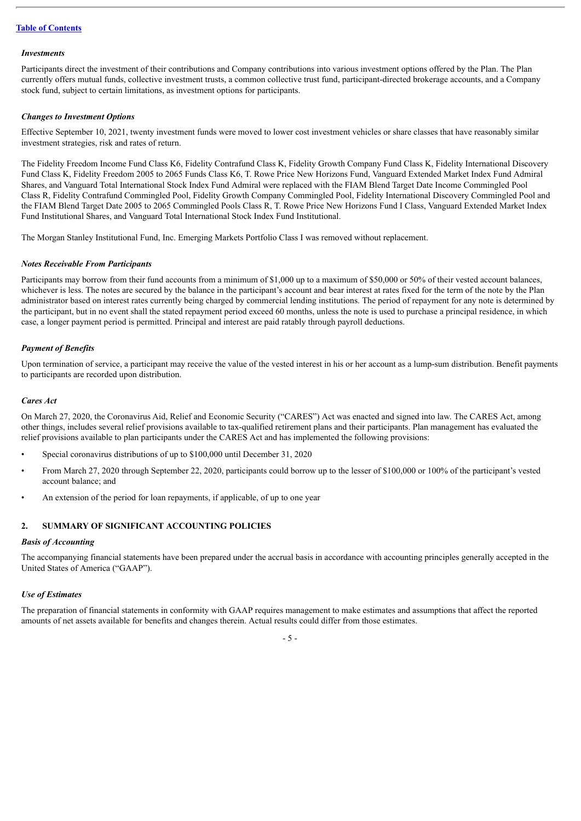#### *Investments*

Participants direct the investment of their contributions and Company contributions into various investment options offered by the Plan. The Plan currently offers mutual funds, collective investment trusts, a common collective trust fund, participant-directed brokerage accounts, and a Company stock fund, subject to certain limitations, as investment options for participants.

#### *Changes to Investment Options*

Effective September 10, 2021, twenty investment funds were moved to lower cost investment vehicles or share classes that have reasonably similar investment strategies, risk and rates of return.

The Fidelity Freedom Income Fund Class K6, Fidelity Contrafund Class K, Fidelity Growth Company Fund Class K, Fidelity International Discovery Fund Class K, Fidelity Freedom 2005 to 2065 Funds Class K6, T. Rowe Price New Horizons Fund, Vanguard Extended Market Index Fund Admiral Shares, and Vanguard Total International Stock Index Fund Admiral were replaced with the FIAM Blend Target Date Income Commingled Pool Class R, Fidelity Contrafund Commingled Pool, Fidelity Growth Company Commingled Pool, Fidelity International Discovery Commingled Pool and the FIAM Blend Target Date 2005 to 2065 Commingled Pools Class R, T. Rowe Price New Horizons Fund I Class, Vanguard Extended Market Index Fund Institutional Shares, and Vanguard Total International Stock Index Fund Institutional.

The Morgan Stanley Institutional Fund, Inc. Emerging Markets Portfolio Class I was removed without replacement.

#### *Notes Receivable From Participants*

Participants may borrow from their fund accounts from a minimum of \$1,000 up to a maximum of \$50,000 or 50% of their vested account balances, whichever is less. The notes are secured by the balance in the participant's account and bear interest at rates fixed for the term of the note by the Plan administrator based on interest rates currently being charged by commercial lending institutions. The period of repayment for any note is determined by the participant, but in no event shall the stated repayment period exceed 60 months, unless the note is used to purchase a principal residence, in which case, a longer payment period is permitted. Principal and interest are paid ratably through payroll deductions.

#### *Payment of Benefits*

Upon termination of service, a participant may receive the value of the vested interest in his or her account as a lump-sum distribution. Benefit payments to participants are recorded upon distribution.

#### *Cares Act*

On March 27, 2020, the Coronavirus Aid, Relief and Economic Security ("CARES") Act was enacted and signed into law. The CARES Act, among other things, includes several relief provisions available to tax-qualified retirement plans and their participants. Plan management has evaluated the relief provisions available to plan participants under the CARES Act and has implemented the following provisions:

- Special coronavirus distributions of up to \$100,000 until December 31, 2020
- From March 27, 2020 through September 22, 2020, participants could borrow up to the lesser of \$100,000 or 100% of the participant's vested account balance; and
- An extension of the period for loan repayments, if applicable, of up to one year

## **2. SUMMARY OF SIGNIFICANT ACCOUNTING POLICIES**

#### *Basis of Accounting*

The accompanying financial statements have been prepared under the accrual basis in accordance with accounting principles generally accepted in the United States of America ("GAAP").

#### *Use of Estimates*

The preparation of financial statements in conformity with GAAP requires management to make estimates and assumptions that affect the reported amounts of net assets available for benefits and changes therein. Actual results could differ from those estimates.

- 5 -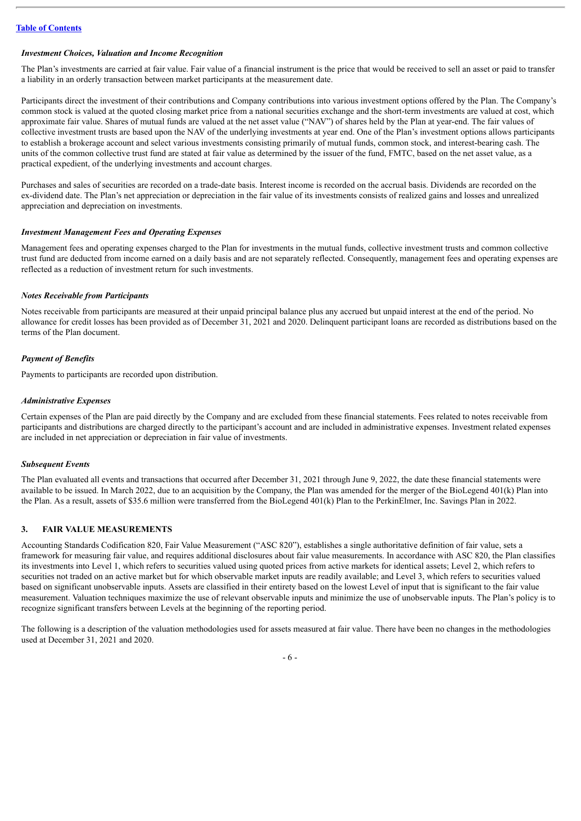#### *Investment Choices, Valuation and Income Recognition*

The Plan's investments are carried at fair value. Fair value of a financial instrument is the price that would be received to sell an asset or paid to transfer a liability in an orderly transaction between market participants at the measurement date.

Participants direct the investment of their contributions and Company contributions into various investment options offered by the Plan. The Company's common stock is valued at the quoted closing market price from a national securities exchange and the short-term investments are valued at cost, which approximate fair value. Shares of mutual funds are valued at the net asset value ("NAV") of shares held by the Plan at year-end. The fair values of collective investment trusts are based upon the NAV of the underlying investments at year end. One of the Plan's investment options allows participants to establish a brokerage account and select various investments consisting primarily of mutual funds, common stock, and interest-bearing cash. The units of the common collective trust fund are stated at fair value as determined by the issuer of the fund, FMTC, based on the net asset value, as a practical expedient, of the underlying investments and account charges.

Purchases and sales of securities are recorded on a trade-date basis. Interest income is recorded on the accrual basis. Dividends are recorded on the ex-dividend date. The Plan's net appreciation or depreciation in the fair value of its investments consists of realized gains and losses and unrealized appreciation and depreciation on investments.

#### *Investment Management Fees and Operating Expenses*

Management fees and operating expenses charged to the Plan for investments in the mutual funds, collective investment trusts and common collective trust fund are deducted from income earned on a daily basis and are not separately reflected. Consequently, management fees and operating expenses are reflected as a reduction of investment return for such investments.

#### *Notes Receivable from Participants*

Notes receivable from participants are measured at their unpaid principal balance plus any accrued but unpaid interest at the end of the period. No allowance for credit losses has been provided as of December 31, 2021 and 2020. Delinquent participant loans are recorded as distributions based on the terms of the Plan document.

#### *Payment of Benefits*

Payments to participants are recorded upon distribution.

#### *Administrative Expenses*

Certain expenses of the Plan are paid directly by the Company and are excluded from these financial statements. Fees related to notes receivable from participants and distributions are charged directly to the participant's account and are included in administrative expenses. Investment related expenses are included in net appreciation or depreciation in fair value of investments.

#### *Subsequent Events*

The Plan evaluated all events and transactions that occurred after December 31, 2021 through June 9, 2022, the date these financial statements were available to be issued. In March 2022, due to an acquisition by the Company, the Plan was amended for the merger of the BioLegend 401(k) Plan into the Plan. As a result, assets of \$35.6 million were transferred from the BioLegend 401(k) Plan to the PerkinElmer, Inc. Savings Plan in 2022.

## **3. FAIR VALUE MEASUREMENTS**

Accounting Standards Codification 820, Fair Value Measurement ("ASC 820"), establishes a single authoritative definition of fair value, sets a framework for measuring fair value, and requires additional disclosures about fair value measurements. In accordance with ASC 820, the Plan classifies its investments into Level 1, which refers to securities valued using quoted prices from active markets for identical assets; Level 2, which refers to securities not traded on an active market but for which observable market inputs are readily available; and Level 3, which refers to securities valued based on significant unobservable inputs. Assets are classified in their entirety based on the lowest Level of input that is significant to the fair value measurement. Valuation techniques maximize the use of relevant observable inputs and minimize the use of unobservable inputs. The Plan's policy is to recognize significant transfers between Levels at the beginning of the reporting period.

The following is a description of the valuation methodologies used for assets measured at fair value. There have been no changes in the methodologies used at December 31, 2021 and 2020.

- 6 -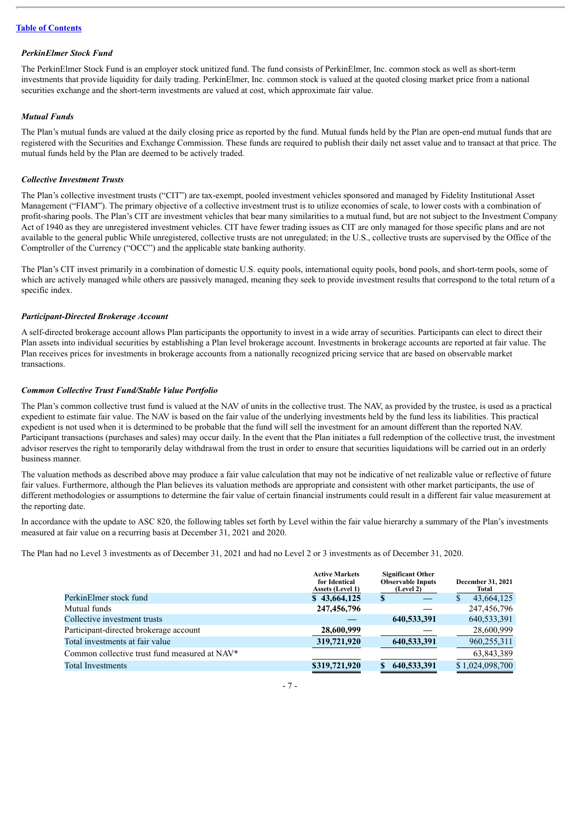#### *PerkinElmer Stock Fund*

The PerkinElmer Stock Fund is an employer stock unitized fund. The fund consists of PerkinElmer, Inc. common stock as well as short-term investments that provide liquidity for daily trading. PerkinElmer, Inc. common stock is valued at the quoted closing market price from a national securities exchange and the short-term investments are valued at cost, which approximate fair value.

#### *Mutual Funds*

The Plan's mutual funds are valued at the daily closing price as reported by the fund. Mutual funds held by the Plan are open-end mutual funds that are registered with the Securities and Exchange Commission. These funds are required to publish their daily net asset value and to transact at that price. The mutual funds held by the Plan are deemed to be actively traded.

#### *Collective Investment Trusts*

The Plan's collective investment trusts ("CIT") are tax-exempt, pooled investment vehicles sponsored and managed by Fidelity Institutional Asset Management ("FIAM"). The primary objective of a collective investment trust is to utilize economies of scale, to lower costs with a combination of profit-sharing pools. The Plan's CIT are investment vehicles that bear many similarities to a mutual fund, but are not subject to the Investment Company Act of 1940 as they are unregistered investment vehicles. CIT have fewer trading issues as CIT are only managed for those specific plans and are not available to the general public While unregistered, collective trusts are not unregulated; in the U.S., collective trusts are supervised by the Office of the Comptroller of the Currency ("OCC") and the applicable state banking authority.

The Plan's CIT invest primarily in a combination of domestic U.S. equity pools, international equity pools, bond pools, and short-term pools, some of which are actively managed while others are passively managed, meaning they seek to provide investment results that correspond to the total return of a specific index.

#### *Participant-Directed Brokerage Account*

A self-directed brokerage account allows Plan participants the opportunity to invest in a wide array of securities. Participants can elect to direct their Plan assets into individual securities by establishing a Plan level brokerage account. Investments in brokerage accounts are reported at fair value. The Plan receives prices for investments in brokerage accounts from a nationally recognized pricing service that are based on observable market transactions.

#### *Common Collective Trust Fund/Stable Value Portfolio*

The Plan's common collective trust fund is valued at the NAV of units in the collective trust. The NAV, as provided by the trustee, is used as a practical expedient to estimate fair value. The NAV is based on the fair value of the underlying investments held by the fund less its liabilities. This practical expedient is not used when it is determined to be probable that the fund will sell the investment for an amount different than the reported NAV. Participant transactions (purchases and sales) may occur daily. In the event that the Plan initiates a full redemption of the collective trust, the investment advisor reserves the right to temporarily delay withdrawal from the trust in order to ensure that securities liquidations will be carried out in an orderly business manner.

The valuation methods as described above may produce a fair value calculation that may not be indicative of net realizable value or reflective of future fair values. Furthermore, although the Plan believes its valuation methods are appropriate and consistent with other market participants, the use of different methodologies or assumptions to determine the fair value of certain financial instruments could result in a different fair value measurement at the reporting date.

In accordance with the update to ASC 820, the following tables set forth by Level within the fair value hierarchy a summary of the Plan's investments measured at fair value on a recurring basis at December 31, 2021 and 2020.

The Plan had no Level 3 investments as of December 31, 2021 and had no Level 2 or 3 investments as of December 31, 2020.

|                                               | <b>Active Markets</b><br>for Identical<br>Assets (Level 1) | <b>Significant Other</b><br><b>Observable Inputs</b><br>(Level 2) | December 31, 2021<br>Total |
|-----------------------------------------------|------------------------------------------------------------|-------------------------------------------------------------------|----------------------------|
| PerkinElmer stock fund                        | \$43,664,125                                               | S                                                                 | 43,664,125                 |
| Mutual funds                                  | 247,456,796                                                |                                                                   | 247,456,796                |
| Collective investment trusts                  |                                                            | 640,533,391                                                       | 640,533,391                |
| Participant-directed brokerage account        | 28,600,999                                                 |                                                                   | 28,600,999                 |
| Total investments at fair value               | 319,721,920                                                | 640,533,391                                                       | 960,255,311                |
| Common collective trust fund measured at NAV* |                                                            |                                                                   | 63,843,389                 |
| <b>Total Investments</b>                      | \$319,721,920                                              | 640,533,391                                                       | \$1,024,098,700            |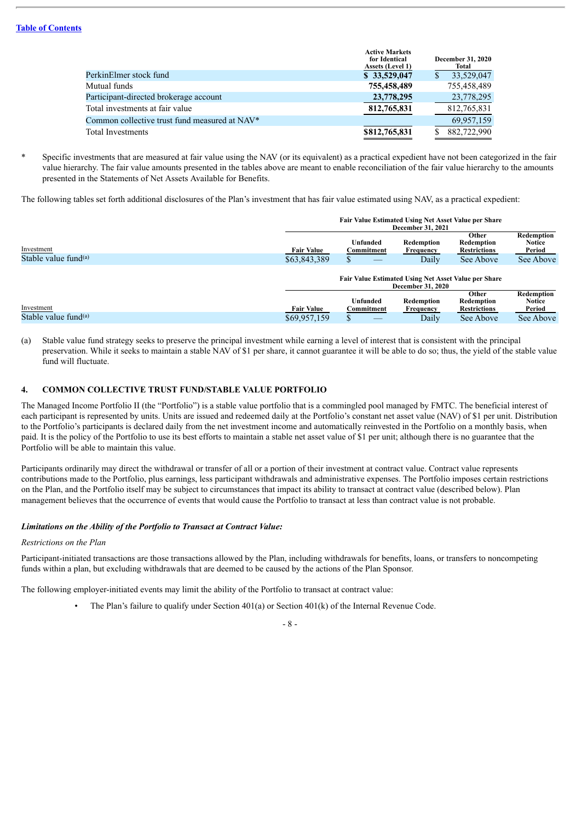|                                               | <b>Active Markets</b><br>for Identical<br>Assets (Level 1) | <b>December 31, 2020</b><br>Total |
|-----------------------------------------------|------------------------------------------------------------|-----------------------------------|
| PerkinElmer stock fund                        | \$33,529,047                                               | 33,529,047                        |
| Mutual funds                                  | 755,458,489                                                | 755,458,489                       |
| Participant-directed brokerage account        | 23,778,295                                                 | 23,778,295                        |
| Total investments at fair value               | 812,765,831                                                | 812,765,831                       |
| Common collective trust fund measured at NAV* |                                                            | 69,957,159                        |
| <b>Total Investments</b>                      | \$812,765,831                                              | 882,722,990                       |

Specific investments that are measured at fair value using the NAV (or its equivalent) as a practical expedient have not been categorized in the fair value hierarchy. The fair value amounts presented in the tables above are meant to enable reconciliation of the fair value hierarchy to the amounts presented in the Statements of Net Assets Available for Benefits.

The following tables set forth additional disclosures of the Plan's investment that has fair value estimated using NAV, as a practical expedient:

|                         |                   | <b>Fair Value Estimated Using Net Asset Value per Share</b> | <b>December 31, 2021</b> |                                            |                                       |
|-------------------------|-------------------|-------------------------------------------------------------|--------------------------|--------------------------------------------|---------------------------------------|
| Investment              | <b>Fair Value</b> | Unfunded<br>Commitment                                      | Redemption<br>Frequency  | Other<br>Redemption<br><b>Restrictions</b> | Redemption<br><b>Notice</b><br>Period |
| Stable value fund $(a)$ | \$63,843,389      |                                                             | Daily                    | See Above                                  | See Above                             |
|                         |                   | <b>Fair Value Estimated Using Net Asset Value per Share</b> | <b>December 31, 2020</b> |                                            |                                       |
|                         |                   |                                                             |                          | Other                                      | Redemption                            |
|                         |                   | Unfunded                                                    | Redemption               | Redemption                                 | <b>Notice</b>                         |
| Investment              | <b>Fair Value</b> | Commitment                                                  | Frequency                | <b>Restrictions</b>                        | Period                                |
| Stable value fund $(a)$ | \$69,957,159      | .D                                                          | Daily                    | See Above                                  | See Above                             |

(a) Stable value fund strategy seeks to preserve the principal investment while earning a level of interest that is consistent with the principal preservation. While it seeks to maintain a stable NAV of \$1 per share, it cannot guarantee it will be able to do so; thus, the yield of the stable value fund will fluctuate.

## **4. COMMON COLLECTIVE TRUST FUND/STABLE VALUE PORTFOLIO**

The Managed Income Portfolio II (the "Portfolio") is a stable value portfolio that is a commingled pool managed by FMTC. The beneficial interest of each participant is represented by units. Units are issued and redeemed daily at the Portfolio's constant net asset value (NAV) of \$1 per unit. Distribution to the Portfolio's participants is declared daily from the net investment income and automatically reinvested in the Portfolio on a monthly basis, when paid. It is the policy of the Portfolio to use its best efforts to maintain a stable net asset value of \$1 per unit; although there is no guarantee that the Portfolio will be able to maintain this value.

Participants ordinarily may direct the withdrawal or transfer of all or a portion of their investment at contract value. Contract value represents contributions made to the Portfolio, plus earnings, less participant withdrawals and administrative expenses. The Portfolio imposes certain restrictions on the Plan, and the Portfolio itself may be subject to circumstances that impact its ability to transact at contract value (described below). Plan management believes that the occurrence of events that would cause the Portfolio to transact at less than contract value is not probable.

#### *Limitations on the Ability of the Portfolio to Transact at Contract Value:*

#### *Restrictions on the Plan*

Participant-initiated transactions are those transactions allowed by the Plan, including withdrawals for benefits, loans, or transfers to noncompeting funds within a plan, but excluding withdrawals that are deemed to be caused by the actions of the Plan Sponsor.

The following employer-initiated events may limit the ability of the Portfolio to transact at contract value:

The Plan's failure to qualify under Section  $401(a)$  or Section  $401(k)$  of the Internal Revenue Code.

 $- 8 -$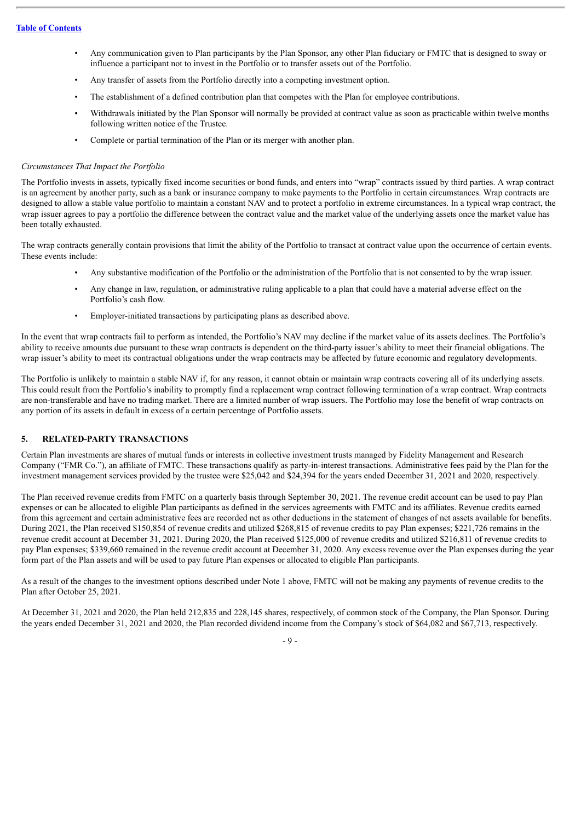- Any communication given to Plan participants by the Plan Sponsor, any other Plan fiduciary or FMTC that is designed to sway or influence a participant not to invest in the Portfolio or to transfer assets out of the Portfolio.
- Any transfer of assets from the Portfolio directly into a competing investment option.
- The establishment of a defined contribution plan that competes with the Plan for employee contributions.
- Withdrawals initiated by the Plan Sponsor will normally be provided at contract value as soon as practicable within twelve months following written notice of the Trustee.
- Complete or partial termination of the Plan or its merger with another plan.

#### *Circumstances That Impact the Portfolio*

The Portfolio invests in assets, typically fixed income securities or bond funds, and enters into "wrap" contracts issued by third parties. A wrap contract is an agreement by another party, such as a bank or insurance company to make payments to the Portfolio in certain circumstances. Wrap contracts are designed to allow a stable value portfolio to maintain a constant NAV and to protect a portfolio in extreme circumstances. In a typical wrap contract, the wrap issuer agrees to pay a portfolio the difference between the contract value and the market value of the underlying assets once the market value has been totally exhausted.

The wrap contracts generally contain provisions that limit the ability of the Portfolio to transact at contract value upon the occurrence of certain events. These events include:

- Any substantive modification of the Portfolio or the administration of the Portfolio that is not consented to by the wrap issuer.
- Any change in law, regulation, or administrative ruling applicable to a plan that could have a material adverse effect on the Portfolio's cash flow.
- Employer-initiated transactions by participating plans as described above.

In the event that wrap contracts fail to perform as intended, the Portfolio's NAV may decline if the market value of its assets declines. The Portfolio's ability to receive amounts due pursuant to these wrap contracts is dependent on the third-party issuer's ability to meet their financial obligations. The wrap issuer's ability to meet its contractual obligations under the wrap contracts may be affected by future economic and regulatory developments.

The Portfolio is unlikely to maintain a stable NAV if, for any reason, it cannot obtain or maintain wrap contracts covering all of its underlying assets. This could result from the Portfolio's inability to promptly find a replacement wrap contract following termination of a wrap contract. Wrap contracts are non-transferable and have no trading market. There are a limited number of wrap issuers. The Portfolio may lose the benefit of wrap contracts on any portion of its assets in default in excess of a certain percentage of Portfolio assets.

#### **5. RELATED-PARTY TRANSACTIONS**

Certain Plan investments are shares of mutual funds or interests in collective investment trusts managed by Fidelity Management and Research Company ("FMR Co."), an affiliate of FMTC. These transactions qualify as party-in-interest transactions. Administrative fees paid by the Plan for the investment management services provided by the trustee were \$25,042 and \$24,394 for the years ended December 31, 2021 and 2020, respectively.

The Plan received revenue credits from FMTC on a quarterly basis through September 30, 2021. The revenue credit account can be used to pay Plan expenses or can be allocated to eligible Plan participants as defined in the services agreements with FMTC and its affiliates. Revenue credits earned from this agreement and certain administrative fees are recorded net as other deductions in the statement of changes of net assets available for benefits. During 2021, the Plan received \$150,854 of revenue credits and utilized \$268,815 of revenue credits to pay Plan expenses; \$221,726 remains in the revenue credit account at December 31, 2021. During 2020, the Plan received \$125,000 of revenue credits and utilized \$216,811 of revenue credits to pay Plan expenses; \$339,660 remained in the revenue credit account at December 31, 2020. Any excess revenue over the Plan expenses during the year form part of the Plan assets and will be used to pay future Plan expenses or allocated to eligible Plan participants.

As a result of the changes to the investment options described under Note 1 above, FMTC will not be making any payments of revenue credits to the Plan after October 25, 2021.

At December 31, 2021 and 2020, the Plan held 212,835 and 228,145 shares, respectively, of common stock of the Company, the Plan Sponsor. During the years ended December 31, 2021 and 2020, the Plan recorded dividend income from the Company's stock of \$64,082 and \$67,713, respectively.

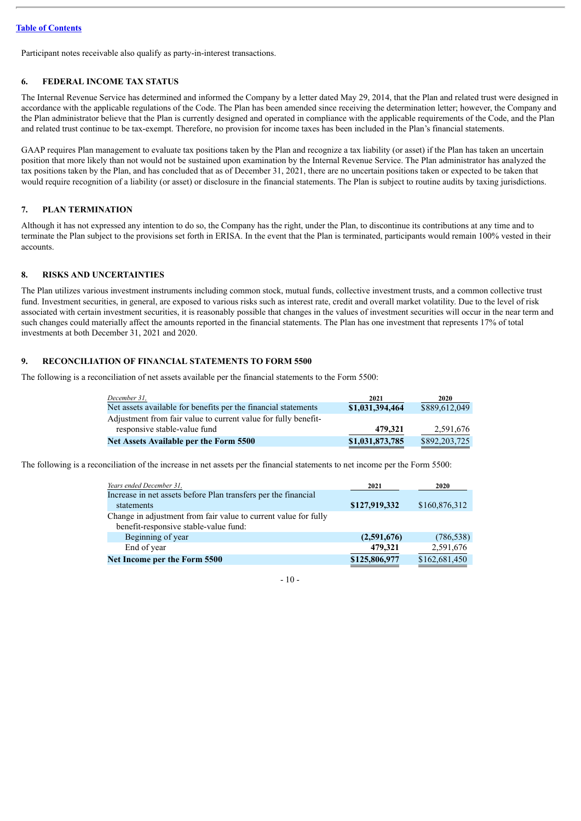Participant notes receivable also qualify as party-in-interest transactions.

#### **6. FEDERAL INCOME TAX STATUS**

The Internal Revenue Service has determined and informed the Company by a letter dated May 29, 2014, that the Plan and related trust were designed in accordance with the applicable regulations of the Code. The Plan has been amended since receiving the determination letter; however, the Company and the Plan administrator believe that the Plan is currently designed and operated in compliance with the applicable requirements of the Code, and the Plan and related trust continue to be tax-exempt. Therefore, no provision for income taxes has been included in the Plan's financial statements.

GAAP requires Plan management to evaluate tax positions taken by the Plan and recognize a tax liability (or asset) if the Plan has taken an uncertain position that more likely than not would not be sustained upon examination by the Internal Revenue Service. The Plan administrator has analyzed the tax positions taken by the Plan, and has concluded that as of December 31, 2021, there are no uncertain positions taken or expected to be taken that would require recognition of a liability (or asset) or disclosure in the financial statements. The Plan is subject to routine audits by taxing jurisdictions.

## **7. PLAN TERMINATION**

Although it has not expressed any intention to do so, the Company has the right, under the Plan, to discontinue its contributions at any time and to terminate the Plan subject to the provisions set forth in ERISA. In the event that the Plan is terminated, participants would remain 100% vested in their accounts.

#### **8. RISKS AND UNCERTAINTIES**

The Plan utilizes various investment instruments including common stock, mutual funds, collective investment trusts, and a common collective trust fund. Investment securities, in general, are exposed to various risks such as interest rate, credit and overall market volatility. Due to the level of risk associated with certain investment securities, it is reasonably possible that changes in the values of investment securities will occur in the near term and such changes could materially affect the amounts reported in the financial statements. The Plan has one investment that represents 17% of total investments at both December 31, 2021 and 2020.

#### **9. RECONCILIATION OF FINANCIAL STATEMENTS TO FORM 5500**

The following is a reconciliation of net assets available per the financial statements to the Form 5500:

| December 31,                                                   | 2021            | 2020          |
|----------------------------------------------------------------|-----------------|---------------|
| Net assets available for benefits per the financial statements | \$1,031,394,464 | \$889,612,049 |
| Adjustment from fair value to current value for fully benefit- |                 |               |
| responsive stable-value fund                                   | 479.321         | 2,591,676     |
| Net Assets Available per the Form 5500                         | \$1,031,873,785 | \$892,203,725 |

The following is a reconciliation of the increase in net assets per the financial statements to net income per the Form 5500:

| Years ended December 31,                                                                                 | 2021          | 2020          |
|----------------------------------------------------------------------------------------------------------|---------------|---------------|
| Increase in net assets before Plan transfers per the financial                                           |               |               |
| statements                                                                                               | \$127,919,332 | \$160,876,312 |
| Change in adjustment from fair value to current value for fully<br>benefit-responsive stable-value fund: |               |               |
| Beginning of year                                                                                        | (2,591,676)   | (786, 538)    |
| End of year                                                                                              | 479,321       | 2,591,676     |
| Net Income per the Form 5500                                                                             | \$125,806,977 | \$162,681,450 |

- 10 -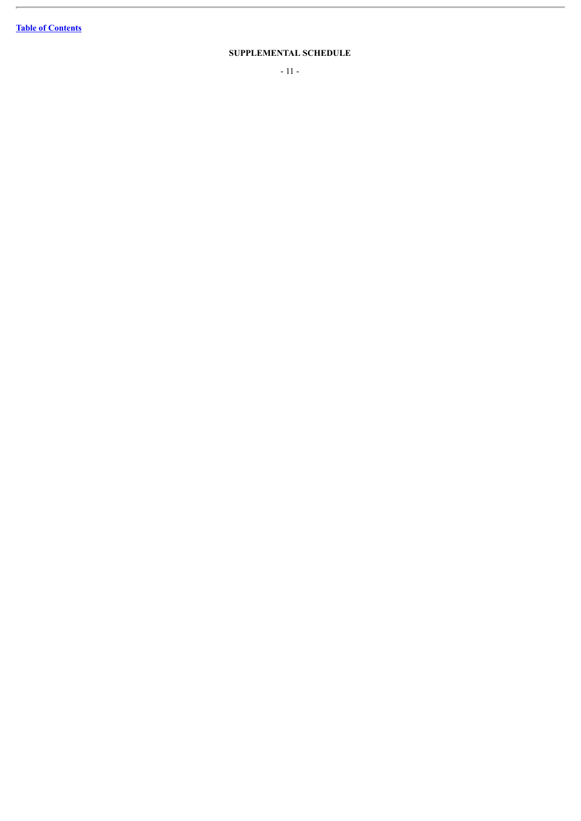<span id="page-12-0"></span> $\overline{a}$ 

## **SUPPLEMENTAL SCHEDULE**

- 11 -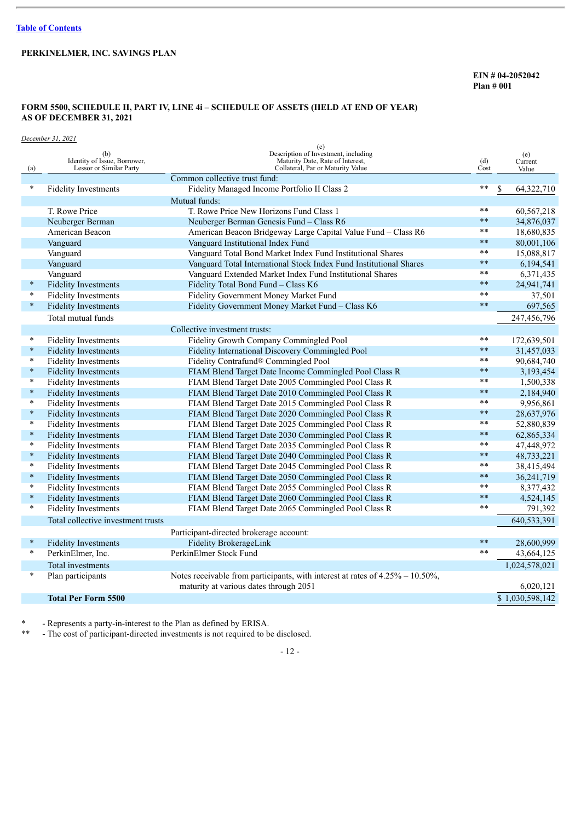## <span id="page-13-0"></span>**PERKINELMER, INC. SAVINGS PLAN**

#### **EIN # 04-2052042 Plan # 001**

#### **FORM 5500, SCHEDULE H, PART IV, LINE 4i – SCHEDULE OF ASSETS (HELD AT END OF YEAR) AS OF DECEMBER 31, 2021**

*December 31, 2021*

|        | ресетоег э1, 2021                                       | (c)                                                                                |             |   |                  |
|--------|---------------------------------------------------------|------------------------------------------------------------------------------------|-------------|---|------------------|
|        | (b)                                                     | Description of Investment, including<br>Maturity Date, Rate of Interest,           |             |   | (e)              |
| (a)    | Identity of Issue, Borrower,<br>Lessor or Similar Party | Collateral, Par or Maturity Value                                                  | (d)<br>Cost |   | Current<br>Value |
|        |                                                         | Common collective trust fund:                                                      |             |   |                  |
| $\ast$ | Fidelity Investments                                    | Fidelity Managed Income Portfolio II Class 2                                       | **          | S | 64,322,710       |
|        |                                                         | Mutual funds:                                                                      |             |   |                  |
|        | T. Rowe Price                                           | T. Rowe Price New Horizons Fund Class 1                                            | $* *$       |   | 60,567,218       |
|        | Neuberger Berman                                        | Neuberger Berman Genesis Fund - Class R6                                           | $***$       |   | 34,876,037       |
|        | American Beacon                                         | American Beacon Bridgeway Large Capital Value Fund - Class R6                      | $***$       |   | 18,680,835       |
|        | Vanguard                                                | Vanguard Institutional Index Fund                                                  | $***$       |   | 80,001,106       |
|        | Vanguard                                                | Vanguard Total Bond Market Index Fund Institutional Shares                         | $***$       |   | 15,088,817       |
|        | Vanguard                                                | Vanguard Total International Stock Index Fund Institutional Shares                 | $**$        |   | 6,194,541        |
|        | Vanguard                                                | Vanguard Extended Market Index Fund Institutional Shares                           | $***$       |   | 6,371,435        |
| $\ast$ | <b>Fidelity Investments</b>                             | Fidelity Total Bond Fund - Class K6                                                | $***$       |   | 24,941,741       |
| $\ast$ | <b>Fidelity Investments</b>                             | Fidelity Government Money Market Fund                                              | $***$       |   | 37,501           |
| $\ast$ | <b>Fidelity Investments</b>                             | Fidelity Government Money Market Fund - Class K6                                   | $**$        |   | 697,565          |
|        | Total mutual funds                                      |                                                                                    |             |   | 247,456,796      |
|        |                                                         | Collective investment trusts:                                                      |             |   |                  |
| $\ast$ | <b>Fidelity Investments</b>                             | Fidelity Growth Company Commingled Pool                                            | $* *$       |   | 172,639,501      |
| $\ast$ | <b>Fidelity Investments</b>                             | Fidelity International Discovery Commingled Pool                                   | $**$        |   | 31,457,033       |
| $\ast$ | <b>Fidelity Investments</b>                             | Fidelity Contrafund® Commingled Pool                                               | $* *$       |   | 90,684,740       |
| $\ast$ | <b>Fidelity Investments</b>                             | FIAM Blend Target Date Income Commingled Pool Class R                              | $***$       |   | 3,193,454        |
| $\ast$ | <b>Fidelity Investments</b>                             | FIAM Blend Target Date 2005 Commingled Pool Class R                                | $* *$       |   | 1,500,338        |
| $\ast$ | <b>Fidelity Investments</b>                             | FIAM Blend Target Date 2010 Commingled Pool Class R                                | $***$       |   | 2,184,940        |
| $\ast$ | <b>Fidelity Investments</b>                             | FIAM Blend Target Date 2015 Commingled Pool Class R                                | $***$       |   | 9,956,861        |
| $\ast$ | <b>Fidelity Investments</b>                             | FIAM Blend Target Date 2020 Commingled Pool Class R                                | $**$        |   | 28,637,976       |
| $\ast$ | <b>Fidelity Investments</b>                             | FIAM Blend Target Date 2025 Commingled Pool Class R                                | $***$       |   | 52,880,839       |
| $\ast$ | <b>Fidelity Investments</b>                             | FIAM Blend Target Date 2030 Commingled Pool Class R                                | $**$        |   | 62,865,334       |
| $\ast$ | <b>Fidelity Investments</b>                             | FIAM Blend Target Date 2035 Commingled Pool Class R                                | **          |   | 47,448,972       |
| $\ast$ | <b>Fidelity Investments</b>                             | FIAM Blend Target Date 2040 Commingled Pool Class R                                | $**$        |   | 48,733,221       |
| $\ast$ | <b>Fidelity Investments</b>                             | FIAM Blend Target Date 2045 Commingled Pool Class R                                | $* *$       |   | 38,415,494       |
| $\ast$ | <b>Fidelity Investments</b>                             | FIAM Blend Target Date 2050 Commingled Pool Class R                                | $**$        |   | 36,241,719       |
| $\ast$ | <b>Fidelity Investments</b>                             | FIAM Blend Target Date 2055 Commingled Pool Class R                                | $* *$       |   | 8,377,432        |
| $\ast$ | <b>Fidelity Investments</b>                             | FIAM Blend Target Date 2060 Commingled Pool Class R                                | $***$       |   | 4,524,145        |
| $\ast$ | <b>Fidelity Investments</b>                             | FIAM Blend Target Date 2065 Commingled Pool Class R                                | $* *$       |   | 791,392          |
|        | Total collective investment trusts                      |                                                                                    |             |   | 640,533,391      |
|        |                                                         | Participant-directed brokerage account:                                            |             |   |                  |
| $\ast$ | <b>Fidelity Investments</b>                             | Fidelity BrokerageLink                                                             | $**$        |   | 28,600,999       |
| $\ast$ | PerkinElmer, Inc.                                       | PerkinElmer Stock Fund                                                             | $**$        |   | 43,664,125       |
|        | <b>Total</b> investments                                |                                                                                    |             |   | 1,024,578,021    |
| $\ast$ | Plan participants                                       | Notes receivable from participants, with interest at rates of $4.25\% - 10.50\%$ , |             |   |                  |
|        |                                                         | maturity at various dates through 2051                                             |             |   | 6,020,121        |
|        | <b>Total Per Form 5500</b>                              |                                                                                    |             |   | \$1,030,598,142  |

\* - Represents a party-in-interest to the Plan as defined by ERISA.<br>\* \* - The cost of participant-directed investments is not required to be

- The cost of participant-directed investments is not required to be disclosed.

- 12 -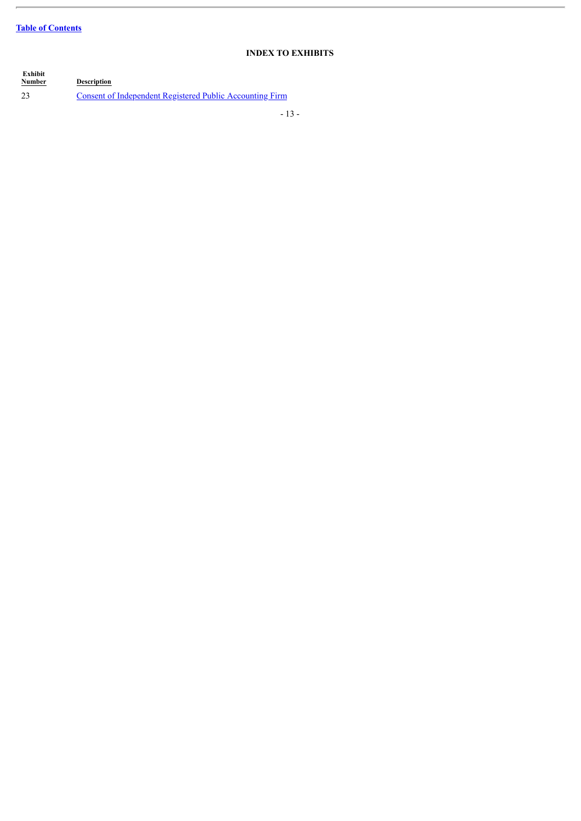$\overline{a}$ 

## **INDEX TO EXHIBITS**

 $\overline{\phantom{a}}$ 

<span id="page-14-0"></span>

| Exhibit<br>Number | <b>Description</b>                                              |
|-------------------|-----------------------------------------------------------------|
| 23                | <b>Consent of Independent Registered Public Accounting Firm</b> |

- 13 -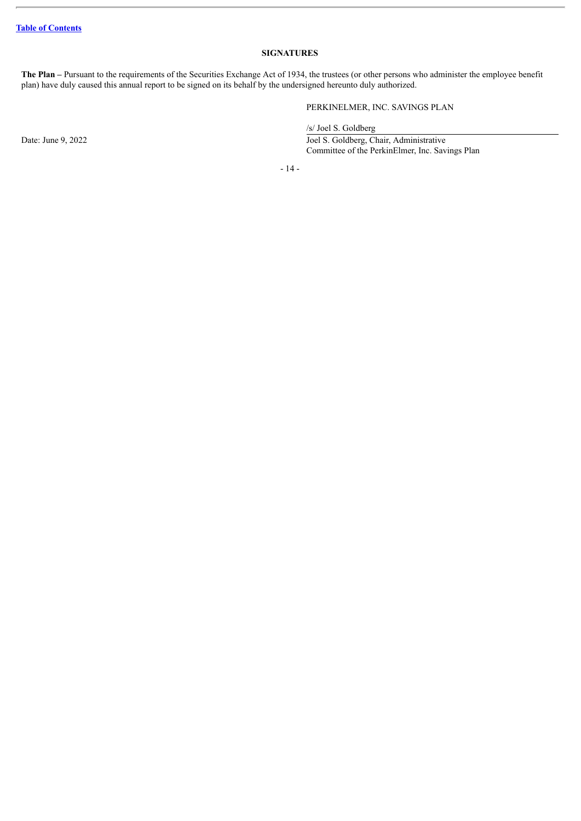## **SIGNATURES**

<span id="page-15-0"></span>**The Plan** *–* Pursuant to the requirements of the Securities Exchange Act of 1934, the trustees (or other persons who administer the employee benefit plan) have duly caused this annual report to be signed on its behalf by the undersigned hereunto duly authorized.

PERKINELMER, INC. SAVINGS PLAN

/s/ Joel S. Goldberg

Date: June 9, 2022 Joel S. Goldberg, Chair, Administrative Committee of the PerkinElmer, Inc. Savings Plan

- 14 -